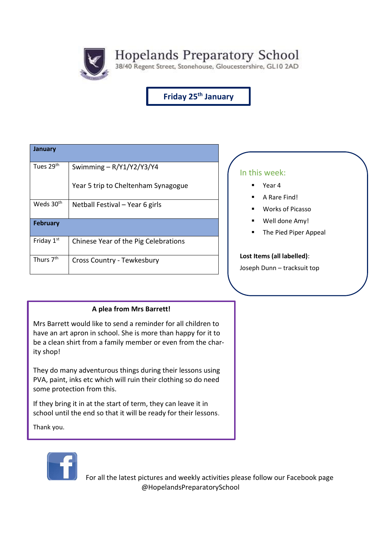Hopelands Preparatory School<br>38/40 Regent Street, Stonehouse, Gloucestershire, GLI0 2AD

**Friday 25th January**

| Swimming $-R/Y1/Y2/Y3/Y4$            |
|--------------------------------------|
| Year 5 trip to Cheltenham Synagogue  |
| Netball Festival - Year 6 girls      |
|                                      |
| Chinese Year of the Pig Celebrations |
| Cross Country - Tewkesbury           |
|                                      |

### In this week:

- Year 4
- A Rare Find!
- Works of Picasso
- Well done Amy!
- The Pied Piper Appeal

#### **Lost Items (all labelled)**:

Joseph Dunn – tracksuit top

### **A plea from Mrs Barrett!**

Mrs Barrett would like to send a reminder for all children to have an art apron in school. She is more than happy for it to be a clean shirt from a family member or even from the charity shop!

They do many adventurous things during their lessons using PVA, paint, inks etc which will ruin their clothing so do need some protection from this.

If they bring it in at the start of term, they can leave it in school until the end so that it will be ready for their lessons.

Thank you.



 For all the latest pictures and weekly activities please follow our Facebook page @HopelandsPreparatorySchool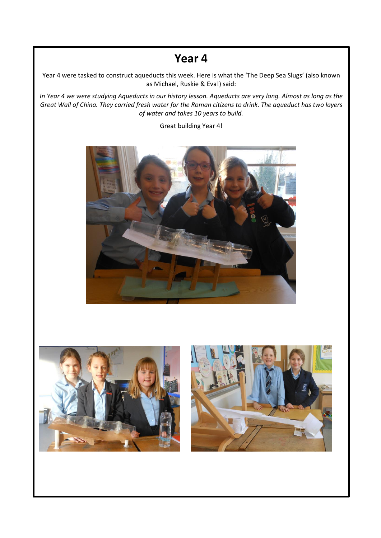## **Year 4**

Year 4 were tasked to construct aqueducts this week. Here is what the 'The Deep Sea Slugs' (also known as Michael, Ruskie & Eva!) said:

*In Year 4 we were studying Aqueducts in our history lesson. Aqueducts are very long. Almost as long as the Great Wall of China. They carried fresh water for the Roman citizens to drink. The aqueduct has two layers of water and takes 10 years to build.*

Great building Year 4!



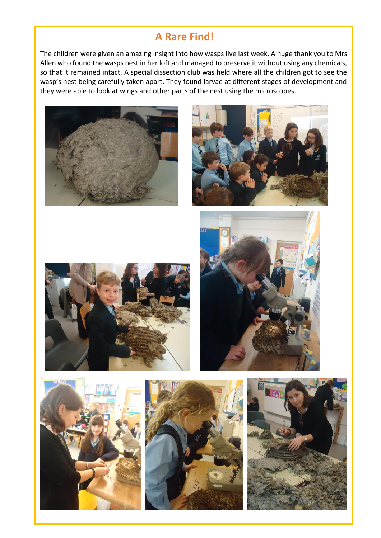## **A Rare Find!**

The children were given an amazing insight into how wasps live last week. A huge thank you to Mrs Allen who found the wasps nest in her loft and managed to preserve it without using any chemicals, so that it remained intact. A special dissection club was held where all the children got to see the wasp's nest being carefully taken apart. They found larvae at different stages of development and they were able to look at wings and other parts of the nest using the microscopes.













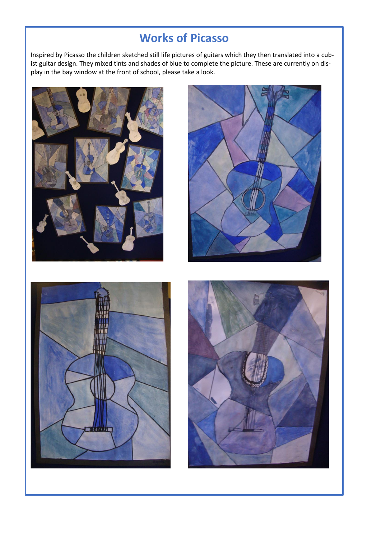# **Works of Picasso**

Inspired by Picasso the children sketched still life pictures of guitars which they then translated into a cubist guitar design. They mixed tints and shades of blue to complete the picture. These are currently on display in the bay window at the front of school, please take a look.